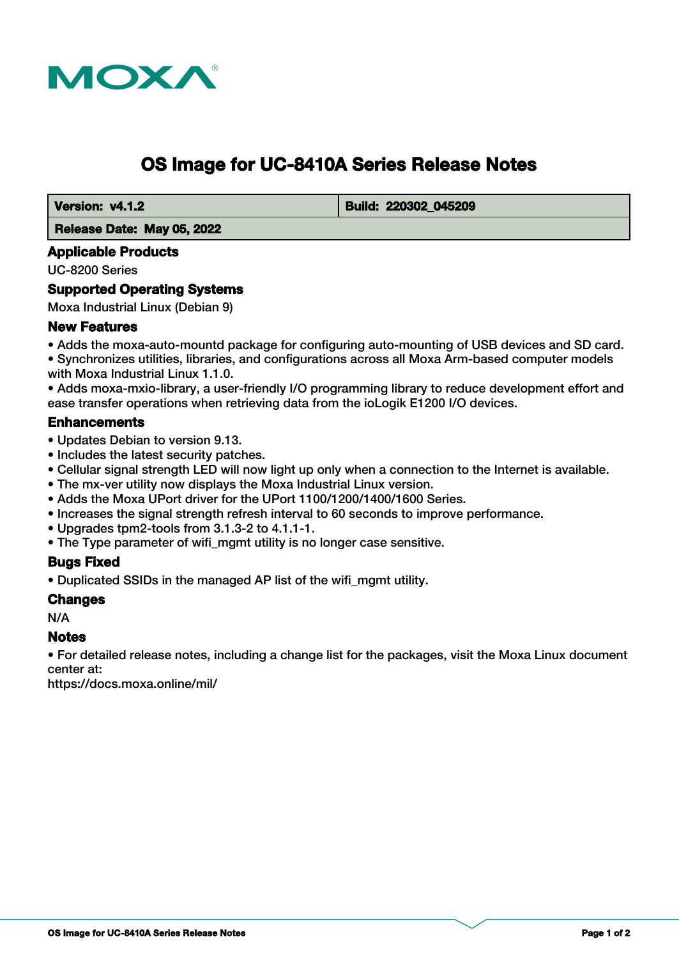

# **OS Image for UC-8410A Series Release Notes**

 **Version: v4.1.2 Build: 220302\_045209** 

 **Release Date: May 05, 2022**

## **Applicable Products**

UC-8200 Series

## **Supported Operating Systems**

Moxa Industrial Linux (Debian 9)

## **New Features**

• Adds the moxa-auto-mountd package for configuring auto-mounting of USB devices and SD card. • Synchronizes utilities, libraries, and configurations across all Moxa Arm-based computer models with Moxa Industrial Linux 1.1.0.

• Adds moxa-mxio-library, a user-friendly I/O programming library to reduce development effort and ease transfer operations when retrieving data from the ioLogik E1200 I/O devices.

## **Enhancements**

- Updates Debian to version 9.13.
- Includes the latest security patches.
- Cellular signal strength LED will now light up only when a connection to the Internet is available.
- The mx-ver utility now displays the Moxa Industrial Linux version.
- Adds the Moxa UPort driver for the UPort 1100/1200/1400/1600 Series.
- Increases the signal strength refresh interval to 60 seconds to improve performance.
- Upgrades tpm2-tools from 3.1.3-2 to 4.1.1-1.
- The Type parameter of wifi mgmt utility is no longer case sensitive.

#### **Bugs Fixed**

• Duplicated SSIDs in the managed AP list of the wifi\_mgmt utility.

#### **Changes**

N/A

#### **Notes**

• For detailed release notes, including a change list for the packages, visit the Moxa Linux document center at:

https://docs.moxa.online/mil/